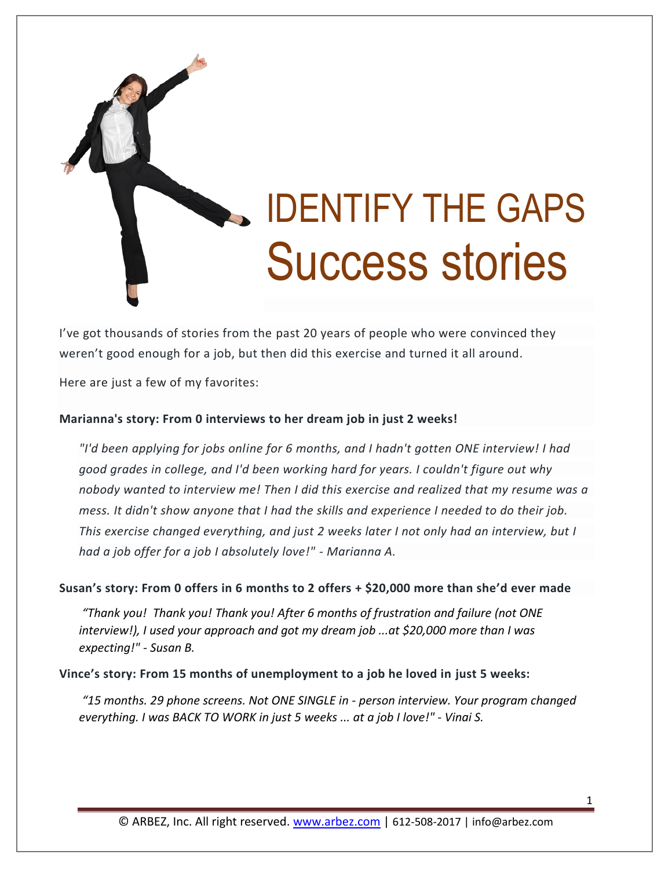

I've got thousands of stories from the past 20 years of people who were convinced they weren't good enough for a job, but then did this exercise and turned it all around.

Here are just a few of my favorites:

## **Marianna's story: From 0 interviews to her dream job in just 2 weeks!**

*"I'd been applying for jobs online for 6 months, and I hadn't gotten ONE interview! I had good grades in college, and I'd been working hard for years. I couldn't figure out why nobody wanted to interview me! Then I did this exercise and realized that my resume was a mess. It didn't show anyone that I had the skills and experience I needed to do their job. This exercise changed everything, and just 2 weeks later I not only had an interview, but I had a job offer for a job I absolutely love!" - Marianna A.*

**Susan's story: From 0 offers in 6 months to 2 offers + \$20,000 more than she'd ever made**

*"Thank you! Thank you! Thank you! After 6 months of frustration and failure (not ONE interview!), I used your approach and got my dream job ...at \$20,000 more than I was expecting!" - Susan B.*

**Vince's story: From 15 months of unemployment to a job he loved in just 5 weeks:**

*"15 months. 29 phone screens. Not ONE SINGLE in - person interview. Your program changed everything. I was BACK TO WORK in just 5 weeks ... at a job I love!" - Vinai S.*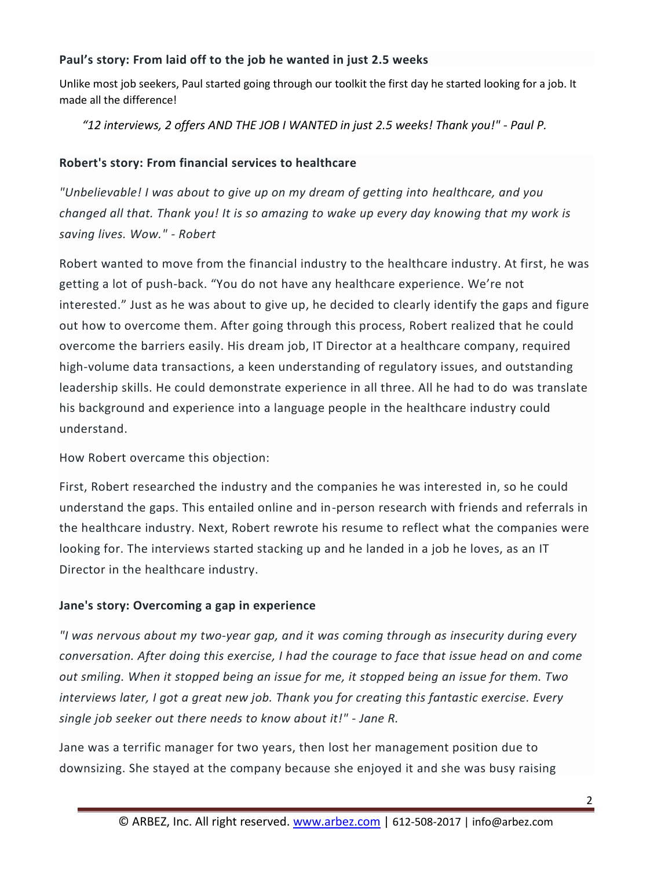## **Paul's story: From laid off to the job he wanted in just 2.5 weeks**

Unlike most job seekers, Paul started going through our toolkit the first day he started looking for a job. It made all the difference!

*"12 interviews, 2 offers AND THE JOB I WANTED in just 2.5 weeks! Thank you!" - Paul P.*

## **Robert's story: From financial services to healthcare**

*"Unbelievable! I was about to give up on my dream of getting into healthcare, and you changed all that. Thank you! It is so amazing to wake up every day knowing that my work is saving lives. Wow." - Robert*

Robert wanted to move from the financial industry to the healthcare industry. At first, he was getting a lot of push-back. "You do not have any healthcare experience. We're not interested." Just as he was about to give up, he decided to clearly identify the gaps and figure out how to overcome them. After going through this process, Robert realized that he could overcome the barriers easily. His dream job, IT Director at a healthcare company, required high-volume data transactions, a keen understanding of regulatory issues, and outstanding leadership skills. He could demonstrate experience in all three. All he had to do was translate his background and experience into a language people in the healthcare industry could understand.

How Robert overcame this objection:

First, Robert researched the industry and the companies he was interested in, so he could understand the gaps. This entailed online and in-person research with friends and referrals in the healthcare industry. Next, Robert rewrote his resume to reflect what the companies were looking for. The interviews started stacking up and he landed in a job he loves, as an IT Director in the healthcare industry.

## **Jane's story: Overcoming a gap in experience**

*"I was nervous about my two-year gap, and it was coming through as insecurity during every conversation. After doing this exercise, I had the courage to face that issue head on and come out smiling. When it stopped being an issue for me, it stopped being an issue for them. Two interviews later, I got a great new job. Thank you for creating this fantastic exercise. Every single job seeker out there needs to know about it!" - Jane R.*

Jane was a terrific manager for two years, then lost her management position due to downsizing. She stayed at the company because she enjoyed it and she was busy raising